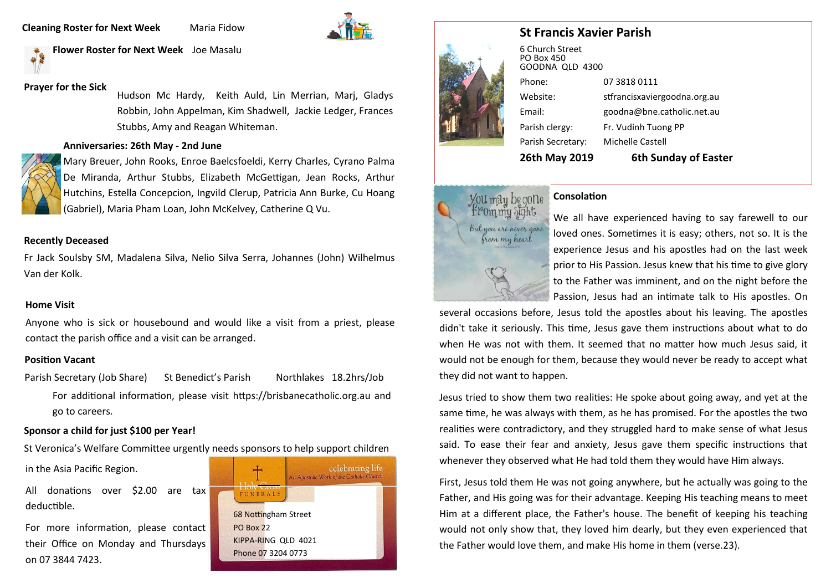**Cleaning Roster for Next Week Maria Fidow** 



**Flower Roster for Next Week** Joe Masalu

# **Prayer for the Sick**

Hudson Mc Hardy, Keith Auld, Lin Merrian, Marj, Gladys Robbin, John Appelman, Kim Shadwell, Jackie Ledger, Frances Stubbs, Amy and Reagan Whiteman.

## **Anniversaries: 26th May - 2nd June**



Mary Breuer, John Rooks, Enroe Baelcsfoeldi, Kerry Charles, Cyrano Palma De Miranda, Arthur Stubbs, Elizabeth McGettigan, Jean Rocks, Arthur Hutchins, Estella Concepcion, Ingvild Clerup, Patricia Ann Burke, Cu Hoang (Gabriel), Maria Pham Loan, John McKelvey, Catherine Q Vu.

## **Recently Deceased**

Fr Jack Soulsby SM, Madalena Silva, Nelio Silva Serra, Johannes (John) Wilhelmus Van der Kolk.

### **Home Visit**

Anyone who is sick or housebound and would like a visit from a priest, please contact the parish office and a visit can be arranged.

# **Position Vacant**

Parish Secretary (Job Share) St Benedict's Parish Northlakes 18.2hrs/Job For additional information, please visit https://brisbanecatholic.org.au and go to careers.

# **Sponsor a child for just \$100 per Year!**

St Veronica's Welfare Committee urgently needs sponsors to help support children

in the Asia Pacific Region.

All donations over \$2.00 are tax deductible.

For more information, please contact their Office on Monday and Thursdays on 07 3844 7423.





# **St Francis Xavier Parish**

| <b>26th May 2019</b>                             | <b>6th Sunday of Easter</b>  |
|--------------------------------------------------|------------------------------|
| Parish Secretary:                                | Michelle Castell             |
| Parish clergy:                                   | Fr. Vudinh Tuong PP          |
| Email:                                           | goodna@bne.catholic.net.au   |
| Website:                                         | stfrancisxaviergoodna.org.au |
| Phone:                                           | 07 3818 0111                 |
| 6 Church Street<br>PO Box 450<br>GOODNA OLD 4300 |                              |



# **Consolation**

We all have experienced having to say farewell to our loved ones. Sometimes it is easy; others, not so. It is the experience Jesus and his apostles had on the last week prior to His Passion. Jesus knew that his time to give glory to the Father was imminent, and on the night before the Passion, Jesus had an intimate talk to His apostles. On

several occasions before, Jesus told the apostles about his leaving. The apostles didn't take it seriously. This time, Jesus gave them instructions about what to do when He was not with them. It seemed that no matter how much Jesus said, it would not be enough for them, because they would never be ready to accept what they did not want to happen.

Jesus tried to show them two realities: He spoke about going away, and yet at the same time, he was always with them, as he has promised. For the apostles the two realities were contradictory, and they struggled hard to make sense of what Jesus said. To ease their fear and anxiety, Jesus gave them specific instructions that whenever they observed what He had told them they would have Him always.

First, Jesus told them He was not going anywhere, but he actually was going to the Father, and His going was for their advantage. Keeping His teaching means to meet Him at a different place, the Father's house. The benefit of keeping his teaching would not only show that, they loved him dearly, but they even experienced that the Father would love them, and make His home in them (verse.23).